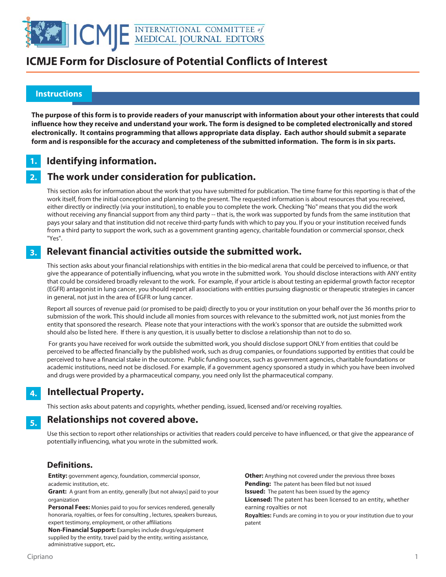

#### **Instructions**

 

> **The purpose of this form is to provide readers of your manuscript with information about your other interests that could influence how they receive and understand your work. The form is designed to be completed electronically and stored electronically. It contains programming that allows appropriate data display. Each author should submit a separate form and is responsible for the accuracy and completeness of the submitted information. The form is in six parts.**

#### **Identifying information. 1.**

#### **The work under consideration for publication. 2.**

This section asks for information about the work that you have submitted for publication. The time frame for this reporting is that of the work itself, from the initial conception and planning to the present. The requested information is about resources that you received, either directly or indirectly (via your institution), to enable you to complete the work. Checking "No" means that you did the work without receiving any financial support from any third party -- that is, the work was supported by funds from the same institution that pays your salary and that institution did not receive third-party funds with which to pay you. If you or your institution received funds from a third party to support the work, such as a government granting agency, charitable foundation or commercial sponsor, check "Yes".

#### **Relevant financial activities outside the submitted work. 3.**

This section asks about your financial relationships with entities in the bio-medical arena that could be perceived to influence, or that give the appearance of potentially influencing, what you wrote in the submitted work. You should disclose interactions with ANY entity that could be considered broadly relevant to the work. For example, if your article is about testing an epidermal growth factor receptor (EGFR) antagonist in lung cancer, you should report all associations with entities pursuing diagnostic or therapeutic strategies in cancer in general, not just in the area of EGFR or lung cancer.

Report all sources of revenue paid (or promised to be paid) directly to you or your institution on your behalf over the 36 months prior to submission of the work. This should include all monies from sources with relevance to the submitted work, not just monies from the entity that sponsored the research. Please note that your interactions with the work's sponsor that are outside the submitted work should also be listed here. If there is any question, it is usually better to disclose a relationship than not to do so.

 For grants you have received for work outside the submitted work, you should disclose support ONLY from entities that could be perceived to be affected financially by the published work, such as drug companies, or foundations supported by entities that could be perceived to have a financial stake in the outcome. Public funding sources, such as government agencies, charitable foundations or academic institutions, need not be disclosed. For example, if a government agency sponsored a study in which you have been involved and drugs were provided by a pharmaceutical company, you need only list the pharmaceutical company.

#### **Intellectual Property. 4.**

This section asks about patents and copyrights, whether pending, issued, licensed and/or receiving royalties.

#### **Relationships not covered above. 5.**

Use this section to report other relationships or activities that readers could perceive to have influenced, or that give the appearance of potentially influencing, what you wrote in the submitted work.

### **Definitions.**

**Entity:** government agency, foundation, commercial sponsor, academic institution, etc.

**Grant:** A grant from an entity, generally [but not always] paid to your organization

**Personal Fees:** Monies paid to you for services rendered, generally honoraria, royalties, or fees for consulting , lectures, speakers bureaus, expert testimony, employment, or other affiliations

**Non-Financial Support:** Examples include drugs/equipment supplied by the entity, travel paid by the entity, writing assistance, administrative support, etc**.**

**Other:** Anything not covered under the previous three boxes **Pending:** The patent has been filed but not issued **Issued:** The patent has been issued by the agency **Licensed:** The patent has been licensed to an entity, whether earning royalties or not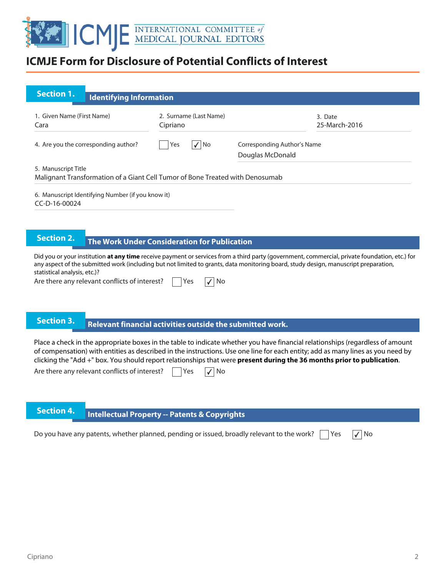

| 1. Given Name (First Name)<br>Cara                                       | 2. Surname (Last Name)<br>Cipriano                                            | 3. Date<br>25-March-2016                        |
|--------------------------------------------------------------------------|-------------------------------------------------------------------------------|-------------------------------------------------|
| 4. Are you the corresponding author?                                     | $\sqrt{ N_{0} }$<br>Yes                                                       | Corresponding Author's Name<br>Douglas McDonald |
| 5. Manuscript Title<br>6. Manuscript Identifying Number (if you know it) | Malignant Transformation of a Giant Cell Tumor of Bone Treated with Denosumab |                                                 |

Did you or your institution **at any time** receive payment or services from a third party (government, commercial, private foundation, etc.) for any aspect of the submitted work (including but not limited to grants, data monitoring board, study design, manuscript preparation, statistical analysis, etc.)?

Are there any relevant conflicts of interest?  $\Box$  Yes  $\Box$  No

| <b>Section 3.</b> | Relevant financial activities outside the submitted work. |
|-------------------|-----------------------------------------------------------|

Place a check in the appropriate boxes in the table to indicate whether you have financial relationships (regardless of amount of compensation) with entities as described in the instructions. Use one line for each entity; add as many lines as you need by clicking the "Add +" box. You should report relationships that were **present during the 36 months prior to publication**.

Are there any relevant conflicts of interest?  $\Box$  Yes  $\Box$  No

## **Intellectual Property -- Patents & Copyrights**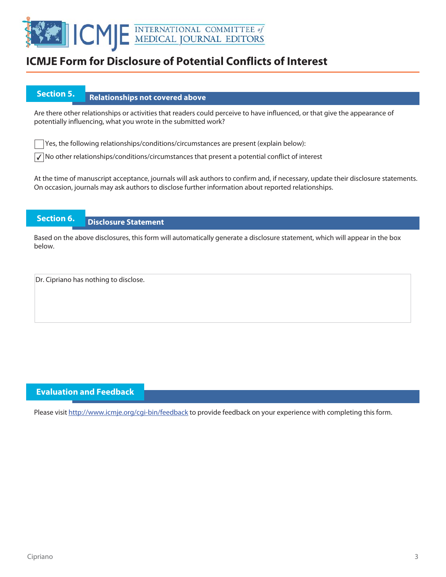

### **Section 5.** Relationships not covered above

Are there other relationships or activities that readers could perceive to have influenced, or that give the appearance of potentially influencing, what you wrote in the submitted work?

Yes, the following relationships/conditions/circumstances are present (explain below):

 $\sqrt{\ }$  No other relationships/conditions/circumstances that present a potential conflict of interest

At the time of manuscript acceptance, journals will ask authors to confirm and, if necessary, update their disclosure statements. On occasion, journals may ask authors to disclose further information about reported relationships.

### **Section 6. Disclosure Statement**

Based on the above disclosures, this form will automatically generate a disclosure statement, which will appear in the box below.

Dr. Cipriano has nothing to disclose.

### **Evaluation and Feedback**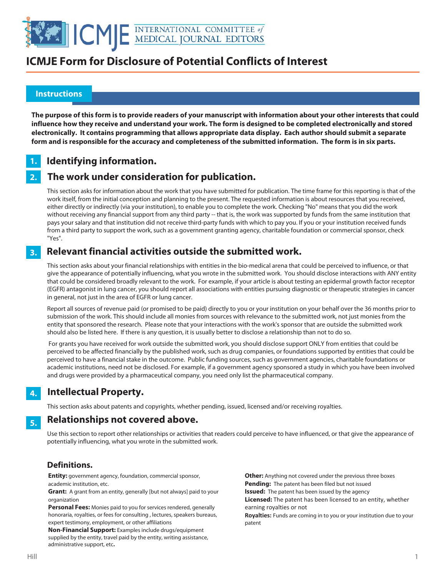

#### **Instructions**

 

> **The purpose of this form is to provide readers of your manuscript with information about your other interests that could influence how they receive and understand your work. The form is designed to be completed electronically and stored electronically. It contains programming that allows appropriate data display. Each author should submit a separate form and is responsible for the accuracy and completeness of the submitted information. The form is in six parts.**

#### **Identifying information. 1.**

#### **The work under consideration for publication. 2.**

This section asks for information about the work that you have submitted for publication. The time frame for this reporting is that of the work itself, from the initial conception and planning to the present. The requested information is about resources that you received, either directly or indirectly (via your institution), to enable you to complete the work. Checking "No" means that you did the work without receiving any financial support from any third party -- that is, the work was supported by funds from the same institution that pays your salary and that institution did not receive third-party funds with which to pay you. If you or your institution received funds from a third party to support the work, such as a government granting agency, charitable foundation or commercial sponsor, check "Yes".

#### **Relevant financial activities outside the submitted work. 3.**

This section asks about your financial relationships with entities in the bio-medical arena that could be perceived to influence, or that give the appearance of potentially influencing, what you wrote in the submitted work. You should disclose interactions with ANY entity that could be considered broadly relevant to the work. For example, if your article is about testing an epidermal growth factor receptor (EGFR) antagonist in lung cancer, you should report all associations with entities pursuing diagnostic or therapeutic strategies in cancer in general, not just in the area of EGFR or lung cancer.

Report all sources of revenue paid (or promised to be paid) directly to you or your institution on your behalf over the 36 months prior to submission of the work. This should include all monies from sources with relevance to the submitted work, not just monies from the entity that sponsored the research. Please note that your interactions with the work's sponsor that are outside the submitted work should also be listed here. If there is any question, it is usually better to disclose a relationship than not to do so.

 For grants you have received for work outside the submitted work, you should disclose support ONLY from entities that could be perceived to be affected financially by the published work, such as drug companies, or foundations supported by entities that could be perceived to have a financial stake in the outcome. Public funding sources, such as government agencies, charitable foundations or academic institutions, need not be disclosed. For example, if a government agency sponsored a study in which you have been involved and drugs were provided by a pharmaceutical company, you need only list the pharmaceutical company.

#### **Intellectual Property. 4.**

This section asks about patents and copyrights, whether pending, issued, licensed and/or receiving royalties.

#### **Relationships not covered above. 5.**

Use this section to report other relationships or activities that readers could perceive to have influenced, or that give the appearance of potentially influencing, what you wrote in the submitted work.

### **Definitions.**

**Entity:** government agency, foundation, commercial sponsor, academic institution, etc.

**Grant:** A grant from an entity, generally [but not always] paid to your organization

**Personal Fees:** Monies paid to you for services rendered, generally honoraria, royalties, or fees for consulting , lectures, speakers bureaus, expert testimony, employment, or other affiliations

**Non-Financial Support:** Examples include drugs/equipment supplied by the entity, travel paid by the entity, writing assistance, administrative support, etc**.**

**Other:** Anything not covered under the previous three boxes **Pending:** The patent has been filed but not issued **Issued:** The patent has been issued by the agency **Licensed:** The patent has been licensed to an entity, whether earning royalties or not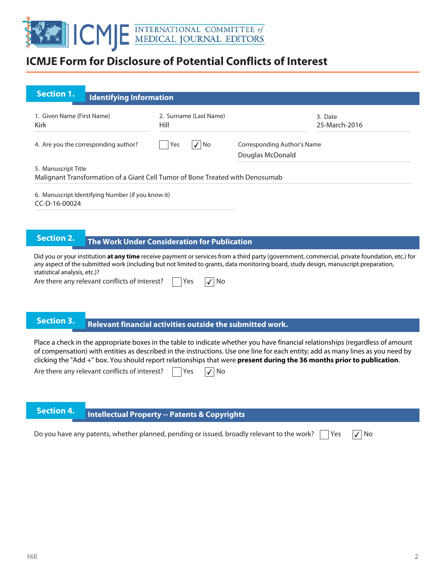

| <b>Section 1.</b><br>1. Given Name (First Name)<br><b>Kirk</b> | <b>Identifying Information</b>                    | 2. Surname (Last Name)<br><b>Hill</b>                                         | 3. Date<br>25-March-2016                        |
|----------------------------------------------------------------|---------------------------------------------------|-------------------------------------------------------------------------------|-------------------------------------------------|
|                                                                | 4. Are you the corresponding author?              | $\sqrt{ NQ}$<br>Yes                                                           | Corresponding Author's Name<br>Douglas McDonald |
| 5. Manuscript Title                                            |                                                   | Malignant Transformation of a Giant Cell Tumor of Bone Treated with Denosumab |                                                 |
| CC-D-16-00024                                                  | 6. Manuscript Identifying Number (if you know it) |                                                                               |                                                 |
| <b>Section 2.</b>                                              |                                                   | <b>The Work Under Consideration for Publication</b>                           |                                                 |

Did you or your institution **at any time** receive payment or services from a third party (government, commercial, private foundation, etc.) for any aspect of the submitted work (including but not limited to grants, data monitoring board, study design, manuscript preparation, statistical analysis, etc.)?

| Are there any relevant conflicts of interest? |  | <b>Yes</b> |  | $\sqrt{}$ No |
|-----------------------------------------------|--|------------|--|--------------|
|-----------------------------------------------|--|------------|--|--------------|

### **Relevant financial activities outside the submitted work. Section 3. Relevant financial activities outset**

Place a check in the appropriate boxes in the table to indicate whether you have financial relationships (regardless of amount of compensation) with entities as described in the instructions. Use one line for each entity; add as many lines as you need by clicking the "Add +" box. You should report relationships that were **present during the 36 months prior to publication**.

| Are there any relevant conflicts of interest? |  | <b>Yes</b> |  | $\sqrt{\ }$ No |
|-----------------------------------------------|--|------------|--|----------------|
|-----------------------------------------------|--|------------|--|----------------|

## **Intellectual Property -- Patents & Copyrights**

| Do you have any patents, whether planned, pending or issued, broadly relevant to the work? $\Box$ Yes $\Box$ No |  |  |  |
|-----------------------------------------------------------------------------------------------------------------|--|--|--|
|-----------------------------------------------------------------------------------------------------------------|--|--|--|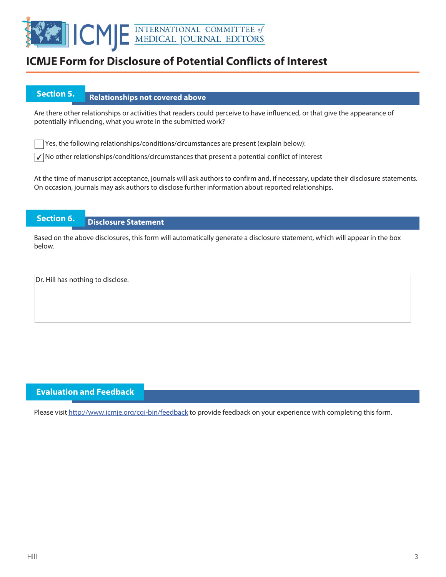

### **Section 5.** Relationships not covered above

Are there other relationships or activities that readers could perceive to have influenced, or that give the appearance of potentially influencing, what you wrote in the submitted work?

Yes, the following relationships/conditions/circumstances are present (explain below):

 $\sqrt{\ }$  No other relationships/conditions/circumstances that present a potential conflict of interest

At the time of manuscript acceptance, journals will ask authors to confirm and, if necessary, update their disclosure statements. On occasion, journals may ask authors to disclose further information about reported relationships.

### **Section 6. Disclosure Statement**

Based on the above disclosures, this form will automatically generate a disclosure statement, which will appear in the box below.

Dr. Hill has nothing to disclose.

### **Evaluation and Feedback**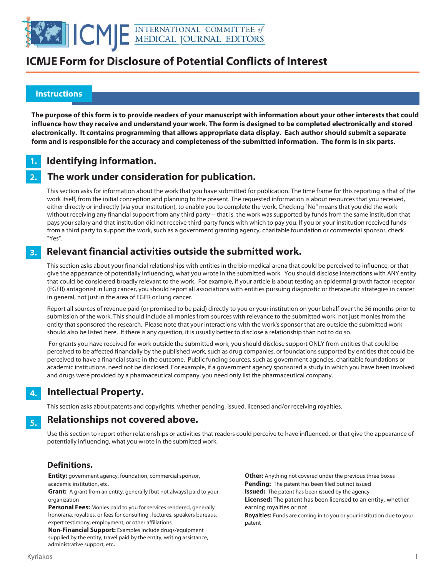

#### **Instructions**

 

> **The purpose of this form is to provide readers of your manuscript with information about your other interests that could influence how they receive and understand your work. The form is designed to be completed electronically and stored electronically. It contains programming that allows appropriate data display. Each author should submit a separate form and is responsible for the accuracy and completeness of the submitted information. The form is in six parts.**

#### **Identifying information. 1.**

#### **The work under consideration for publication. 2.**

This section asks for information about the work that you have submitted for publication. The time frame for this reporting is that of the work itself, from the initial conception and planning to the present. The requested information is about resources that you received, either directly or indirectly (via your institution), to enable you to complete the work. Checking "No" means that you did the work without receiving any financial support from any third party -- that is, the work was supported by funds from the same institution that pays your salary and that institution did not receive third-party funds with which to pay you. If you or your institution received funds from a third party to support the work, such as a government granting agency, charitable foundation or commercial sponsor, check "Yes".

#### **Relevant financial activities outside the submitted work. 3.**

This section asks about your financial relationships with entities in the bio-medical arena that could be perceived to influence, or that give the appearance of potentially influencing, what you wrote in the submitted work. You should disclose interactions with ANY entity that could be considered broadly relevant to the work. For example, if your article is about testing an epidermal growth factor receptor (EGFR) antagonist in lung cancer, you should report all associations with entities pursuing diagnostic or therapeutic strategies in cancer in general, not just in the area of EGFR or lung cancer.

Report all sources of revenue paid (or promised to be paid) directly to you or your institution on your behalf over the 36 months prior to submission of the work. This should include all monies from sources with relevance to the submitted work, not just monies from the entity that sponsored the research. Please note that your interactions with the work's sponsor that are outside the submitted work should also be listed here. If there is any question, it is usually better to disclose a relationship than not to do so.

 For grants you have received for work outside the submitted work, you should disclose support ONLY from entities that could be perceived to be affected financially by the published work, such as drug companies, or foundations supported by entities that could be perceived to have a financial stake in the outcome. Public funding sources, such as government agencies, charitable foundations or academic institutions, need not be disclosed. For example, if a government agency sponsored a study in which you have been involved and drugs were provided by a pharmaceutical company, you need only list the pharmaceutical company.

#### **Intellectual Property. 4.**

This section asks about patents and copyrights, whether pending, issued, licensed and/or receiving royalties.

#### **Relationships not covered above. 5.**

Use this section to report other relationships or activities that readers could perceive to have influenced, or that give the appearance of potentially influencing, what you wrote in the submitted work.

### **Definitions.**

**Entity:** government agency, foundation, commercial sponsor, academic institution, etc.

**Grant:** A grant from an entity, generally [but not always] paid to your organization

**Personal Fees:** Monies paid to you for services rendered, generally honoraria, royalties, or fees for consulting , lectures, speakers bureaus, expert testimony, employment, or other affiliations

**Non-Financial Support:** Examples include drugs/equipment supplied by the entity, travel paid by the entity, writing assistance, administrative support, etc**.**

**Other:** Anything not covered under the previous three boxes **Pending:** The patent has been filed but not issued **Issued:** The patent has been issued by the agency **Licensed:** The patent has been licensed to an entity, whether earning royalties or not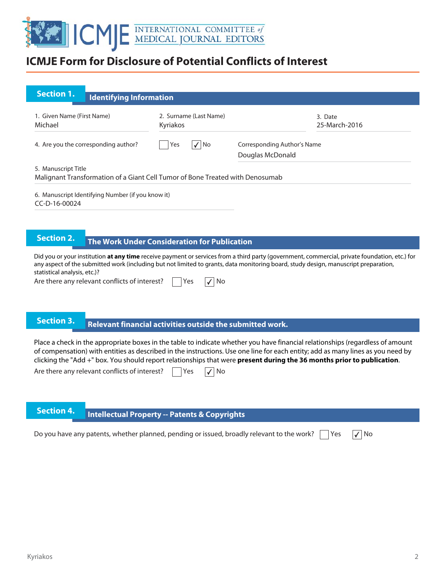

| <b>Section 1.</b>                     | <b>Identifying Information</b>                                                |          |                        |                                                 |                                                                                                                                                      |
|---------------------------------------|-------------------------------------------------------------------------------|----------|------------------------|-------------------------------------------------|------------------------------------------------------------------------------------------------------------------------------------------------------|
| 1. Given Name (First Name)<br>Michael |                                                                               | Kyriakos | 2. Surname (Last Name) |                                                 | 3. Date<br>25-March-2016                                                                                                                             |
|                                       | 4. Are you the corresponding author?                                          | Yes      | $\sqrt{ NQ}$           | Corresponding Author's Name<br>Douglas McDonald |                                                                                                                                                      |
| 5. Manuscript Title                   | Malignant Transformation of a Giant Cell Tumor of Bone Treated with Denosumab |          |                        |                                                 |                                                                                                                                                      |
| CC-D-16-00024                         | 6. Manuscript Identifying Number (if you know it)                             |          |                        |                                                 |                                                                                                                                                      |
| <b>Section 2.</b>                     | <b>The Work Under Consideration for Publication</b>                           |          |                        |                                                 |                                                                                                                                                      |
|                                       |                                                                               |          |                        |                                                 | Did you or your institution <b>at any time</b> receive payment or services from a third party (government, commercial, private foundation, etc.) for |

any aspect of the submitted work (including but not limited to grants, data monitoring board, study design, manuscript preparation, statistical analysis, etc.)?

| Are there any relevant conflicts of interest? |  | <b>Yes</b> |  | $\sqrt{\ }$ No |
|-----------------------------------------------|--|------------|--|----------------|
|-----------------------------------------------|--|------------|--|----------------|

## **Relevant financial activities outside the submitted work. Section 3. Relevant financial activities outset**

Place a check in the appropriate boxes in the table to indicate whether you have financial relationships (regardless of amount of compensation) with entities as described in the instructions. Use one line for each entity; add as many lines as you need by clicking the "Add +" box. You should report relationships that were **present during the 36 months prior to publication**.

|  | Are there any relevant conflicts of interest? |  | Yes |  | $\sqrt{\ }$ No |
|--|-----------------------------------------------|--|-----|--|----------------|
|--|-----------------------------------------------|--|-----|--|----------------|

## **Intellectual Property -- Patents & Copyrights**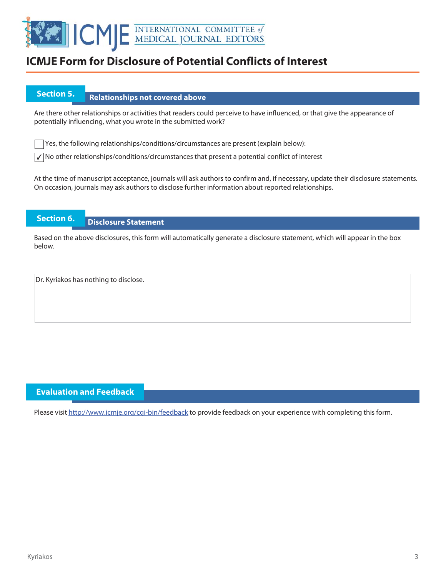

### **Section 5.** Relationships not covered above

Are there other relationships or activities that readers could perceive to have influenced, or that give the appearance of potentially influencing, what you wrote in the submitted work?

Yes, the following relationships/conditions/circumstances are present (explain below):

 $\sqrt{\ }$  No other relationships/conditions/circumstances that present a potential conflict of interest

At the time of manuscript acceptance, journals will ask authors to confirm and, if necessary, update their disclosure statements. On occasion, journals may ask authors to disclose further information about reported relationships.

### **Section 6. Disclosure Statement**

Based on the above disclosures, this form will automatically generate a disclosure statement, which will appear in the box below.

Dr. Kyriakos has nothing to disclose.

### **Evaluation and Feedback**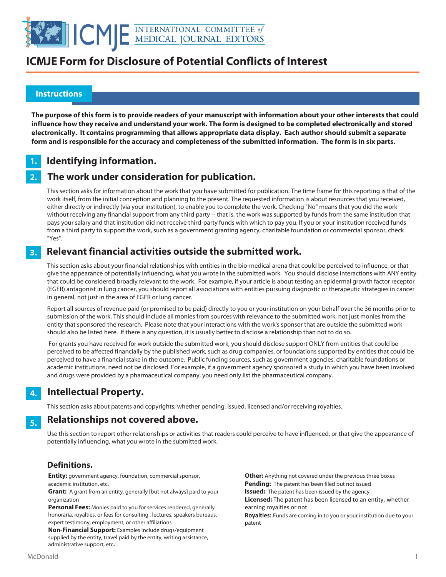

#### **Instructions**

 

> **The purpose of this form is to provide readers of your manuscript with information about your other interests that could influence how they receive and understand your work. The form is designed to be completed electronically and stored electronically. It contains programming that allows appropriate data display. Each author should submit a separate form and is responsible for the accuracy and completeness of the submitted information. The form is in six parts.**

#### **Identifying information. 1.**

#### **The work under consideration for publication. 2.**

This section asks for information about the work that you have submitted for publication. The time frame for this reporting is that of the work itself, from the initial conception and planning to the present. The requested information is about resources that you received, either directly or indirectly (via your institution), to enable you to complete the work. Checking "No" means that you did the work without receiving any financial support from any third party -- that is, the work was supported by funds from the same institution that pays your salary and that institution did not receive third-party funds with which to pay you. If you or your institution received funds from a third party to support the work, such as a government granting agency, charitable foundation or commercial sponsor, check "Yes".

#### **Relevant financial activities outside the submitted work. 3.**

This section asks about your financial relationships with entities in the bio-medical arena that could be perceived to influence, or that give the appearance of potentially influencing, what you wrote in the submitted work. You should disclose interactions with ANY entity that could be considered broadly relevant to the work. For example, if your article is about testing an epidermal growth factor receptor (EGFR) antagonist in lung cancer, you should report all associations with entities pursuing diagnostic or therapeutic strategies in cancer in general, not just in the area of EGFR or lung cancer.

Report all sources of revenue paid (or promised to be paid) directly to you or your institution on your behalf over the 36 months prior to submission of the work. This should include all monies from sources with relevance to the submitted work, not just monies from the entity that sponsored the research. Please note that your interactions with the work's sponsor that are outside the submitted work should also be listed here. If there is any question, it is usually better to disclose a relationship than not to do so.

 For grants you have received for work outside the submitted work, you should disclose support ONLY from entities that could be perceived to be affected financially by the published work, such as drug companies, or foundations supported by entities that could be perceived to have a financial stake in the outcome. Public funding sources, such as government agencies, charitable foundations or academic institutions, need not be disclosed. For example, if a government agency sponsored a study in which you have been involved and drugs were provided by a pharmaceutical company, you need only list the pharmaceutical company.

#### **Intellectual Property. 4.**

This section asks about patents and copyrights, whether pending, issued, licensed and/or receiving royalties.

#### **Relationships not covered above. 5.**

Use this section to report other relationships or activities that readers could perceive to have influenced, or that give the appearance of potentially influencing, what you wrote in the submitted work.

### **Definitions.**

**Entity:** government agency, foundation, commercial sponsor, academic institution, etc.

**Grant:** A grant from an entity, generally [but not always] paid to your organization

**Personal Fees:** Monies paid to you for services rendered, generally honoraria, royalties, or fees for consulting , lectures, speakers bureaus, expert testimony, employment, or other affiliations

**Non-Financial Support:** Examples include drugs/equipment supplied by the entity, travel paid by the entity, writing assistance, administrative support, etc**.**

**Other:** Anything not covered under the previous three boxes **Pending:** The patent has been filed but not issued **Issued:** The patent has been issued by the agency **Licensed:** The patent has been licensed to an entity, whether earning royalties or not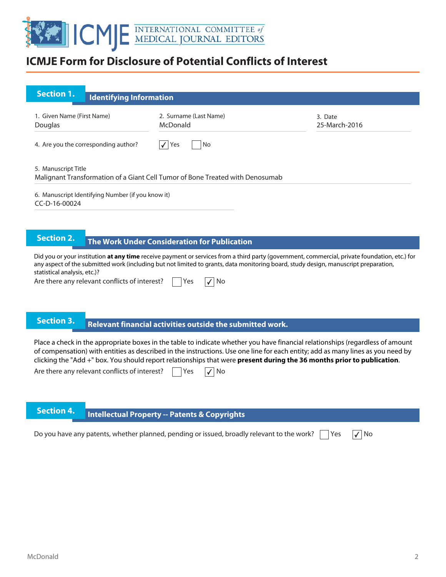

| <b>Section 1.</b>                     | <b>Identifying Information</b>                    |                                                                               |                          |
|---------------------------------------|---------------------------------------------------|-------------------------------------------------------------------------------|--------------------------|
| 1. Given Name (First Name)<br>Douglas |                                                   | 2. Surname (Last Name)<br>McDonald                                            | 3. Date<br>25-March-2016 |
|                                       | 4. Are you the corresponding author?              | Yes<br>No<br>$\checkmark$                                                     |                          |
| 5. Manuscript Title                   |                                                   | Malignant Transformation of a Giant Cell Tumor of Bone Treated with Denosumab |                          |
| CC-D-16-00024                         | 6. Manuscript Identifying Number (if you know it) |                                                                               |                          |
|                                       |                                                   |                                                                               |                          |
| <b>Section 2.</b>                     |                                                   | <b>The Work Under Consideration for Publication</b>                           |                          |

Did you or your institution **at any time** receive payment or services from a third party (government, commercial, private foundation, etc.) for any aspect of the submitted work (including but not limited to grants, data monitoring board, study design, manuscript preparation, statistical analysis, etc.)?

Are there any relevant conflicts of interest?  $\Box$  Yes  $\Box$  No

# **Relevant financial activities outside the submitted work. Section 3. Relevant financial activities outset**

Place a check in the appropriate boxes in the table to indicate whether you have financial relationships (regardless of amount of compensation) with entities as described in the instructions. Use one line for each entity; add as many lines as you need by clicking the "Add +" box. You should report relationships that were **present during the 36 months prior to publication**.

Are there any relevant conflicts of interest?  $\Box$  Yes  $\Box$  No

## **Intellectual Property -- Patents & Copyrights**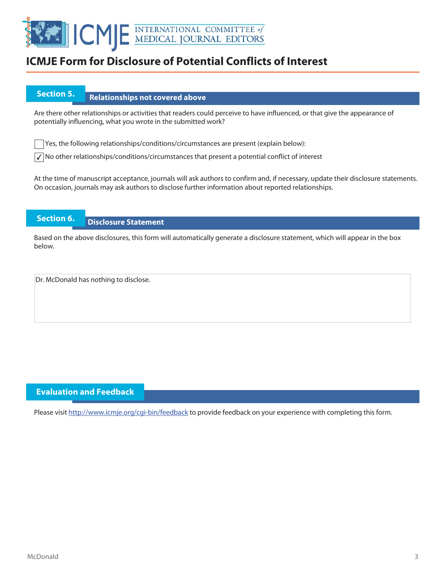

### **Section 5.** Relationships not covered above

Are there other relationships or activities that readers could perceive to have influenced, or that give the appearance of potentially influencing, what you wrote in the submitted work?

Yes, the following relationships/conditions/circumstances are present (explain below):

 $\sqrt{\ }$  No other relationships/conditions/circumstances that present a potential conflict of interest

At the time of manuscript acceptance, journals will ask authors to confirm and, if necessary, update their disclosure statements. On occasion, journals may ask authors to disclose further information about reported relationships.

### **Section 6. Disclosure Statement**

Based on the above disclosures, this form will automatically generate a disclosure statement, which will appear in the box below.

Dr. McDonald has nothing to disclose.

### **Evaluation and Feedback**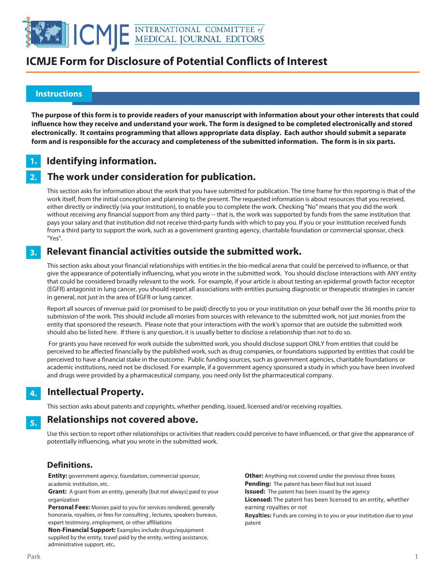

#### **Instructions**

 

> **The purpose of this form is to provide readers of your manuscript with information about your other interests that could influence how they receive and understand your work. The form is designed to be completed electronically and stored electronically. It contains programming that allows appropriate data display. Each author should submit a separate form and is responsible for the accuracy and completeness of the submitted information. The form is in six parts.**

#### **Identifying information. 1.**

#### **The work under consideration for publication. 2.**

This section asks for information about the work that you have submitted for publication. The time frame for this reporting is that of the work itself, from the initial conception and planning to the present. The requested information is about resources that you received, either directly or indirectly (via your institution), to enable you to complete the work. Checking "No" means that you did the work without receiving any financial support from any third party -- that is, the work was supported by funds from the same institution that pays your salary and that institution did not receive third-party funds with which to pay you. If you or your institution received funds from a third party to support the work, such as a government granting agency, charitable foundation or commercial sponsor, check "Yes".

#### **Relevant financial activities outside the submitted work. 3.**

This section asks about your financial relationships with entities in the bio-medical arena that could be perceived to influence, or that give the appearance of potentially influencing, what you wrote in the submitted work. You should disclose interactions with ANY entity that could be considered broadly relevant to the work. For example, if your article is about testing an epidermal growth factor receptor (EGFR) antagonist in lung cancer, you should report all associations with entities pursuing diagnostic or therapeutic strategies in cancer in general, not just in the area of EGFR or lung cancer.

Report all sources of revenue paid (or promised to be paid) directly to you or your institution on your behalf over the 36 months prior to submission of the work. This should include all monies from sources with relevance to the submitted work, not just monies from the entity that sponsored the research. Please note that your interactions with the work's sponsor that are outside the submitted work should also be listed here. If there is any question, it is usually better to disclose a relationship than not to do so.

 For grants you have received for work outside the submitted work, you should disclose support ONLY from entities that could be perceived to be affected financially by the published work, such as drug companies, or foundations supported by entities that could be perceived to have a financial stake in the outcome. Public funding sources, such as government agencies, charitable foundations or academic institutions, need not be disclosed. For example, if a government agency sponsored a study in which you have been involved and drugs were provided by a pharmaceutical company, you need only list the pharmaceutical company.

#### **Intellectual Property. 4.**

This section asks about patents and copyrights, whether pending, issued, licensed and/or receiving royalties.

#### **Relationships not covered above. 5.**

Use this section to report other relationships or activities that readers could perceive to have influenced, or that give the appearance of potentially influencing, what you wrote in the submitted work.

### **Definitions.**

**Entity:** government agency, foundation, commercial sponsor, academic institution, etc.

**Grant:** A grant from an entity, generally [but not always] paid to your organization

**Personal Fees:** Monies paid to you for services rendered, generally honoraria, royalties, or fees for consulting , lectures, speakers bureaus, expert testimony, employment, or other affiliations

**Non-Financial Support:** Examples include drugs/equipment supplied by the entity, travel paid by the entity, writing assistance, administrative support, etc**.**

**Other:** Anything not covered under the previous three boxes **Pending:** The patent has been filed but not issued **Issued:** The patent has been issued by the agency **Licensed:** The patent has been licensed to an entity, whether earning royalties or not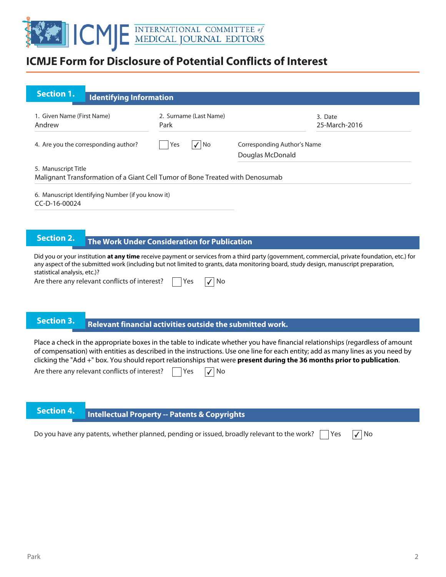

| 1. Given Name (First Name)<br>Andrew |                                                   | 2. Surname (Last Name)<br>Park                                                | 3. Date<br>25-March-2016                        |
|--------------------------------------|---------------------------------------------------|-------------------------------------------------------------------------------|-------------------------------------------------|
|                                      | 4. Are you the corresponding author?              | $\sqrt{ NQ}$<br>Yes                                                           | Corresponding Author's Name<br>Douglas McDonald |
| 5. Manuscript Title                  |                                                   | Malignant Transformation of a Giant Cell Tumor of Bone Treated with Denosumab |                                                 |
| CC-D-16-00024                        | 6. Manuscript Identifying Number (if you know it) |                                                                               |                                                 |

Did you or your institution **at any time** receive payment or services from a third party (government, commercial, private foundation, etc.) for any aspect of the submitted work (including but not limited to grants, data monitoring board, study design, manuscript preparation, statistical analysis, etc.)?

Are there any relevant conflicts of interest?  $\Box$  Yes  $\Box$  No

## **Relevant financial activities outside the submitted work. Section 3. Relevant financial activities outset**

Place a check in the appropriate boxes in the table to indicate whether you have financial relationships (regardless of amount of compensation) with entities as described in the instructions. Use one line for each entity; add as many lines as you need by clicking the "Add +" box. You should report relationships that were **present during the 36 months prior to publication**.

Are there any relevant conflicts of interest?  $\Box$  Yes  $\Box$  No

## **Intellectual Property -- Patents & Copyrights**